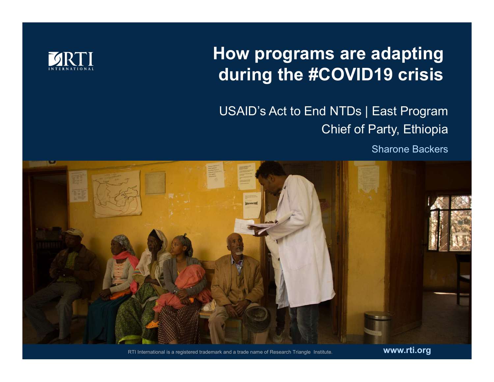

#### How programs are adapting during the #COVID19 crisis

#### USAID's Act to End NTDs | East Program Chief of Party, Ethiopia

Sharone Backers



RTI International is a registered trademark and a trade name of Research Triangle Institute. **www.rti.org**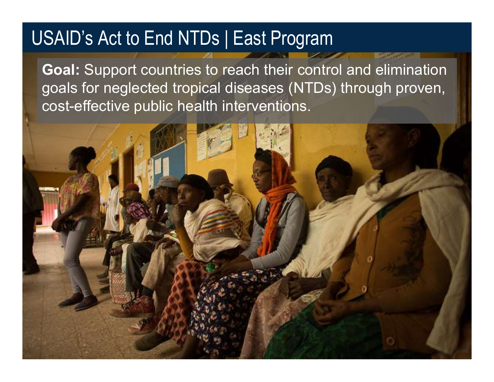## USAID's Act to End NTDs | East Program

Goal: Support countries to reach their control and elimination goals for neglected tropical diseases (NTDs) through proven, cost-effective public health interventions.

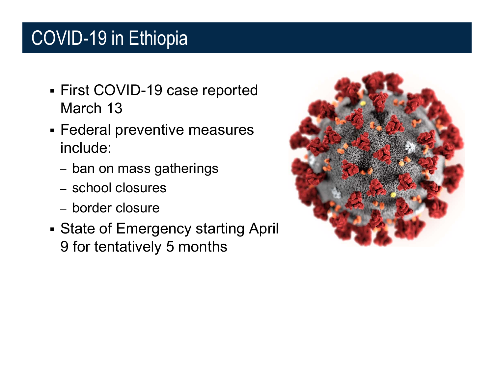## COVID-19 in Ethiopia

- First COVID-19 case reported March 13
- Federal preventive measures include:
	- ban on mass gatherings
	- school closures
	- border closure
- State of Emergency starting April 9 for tentatively 5 months

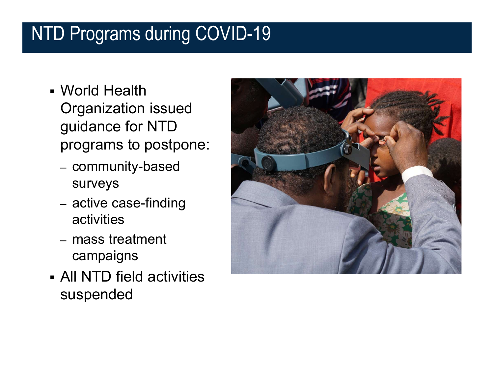## NTD Programs during COVID-19

- guidance for NTD World Health Organization issued programs to postpone:
	- community-based surveys
	- active case-finding activities
	- mass treatment campaigns
	- All NTD field activities suspended

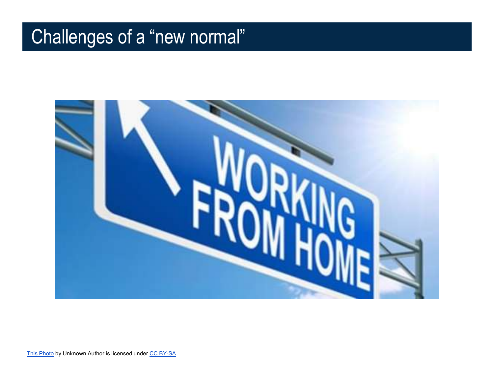# Challenges of a "new normal"

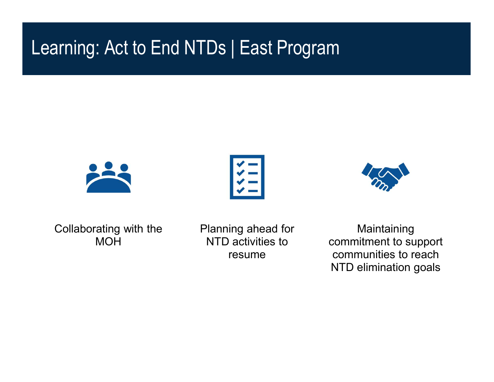### Learning: Act to End NTDs | East Program







Collaborating with the

MOH MOH NTD activities to contract to the contract of the contract of the contract of the contract of the contr Planning ahead for

resume communities to reach **Maintaining** commitment to support NTD elimination goals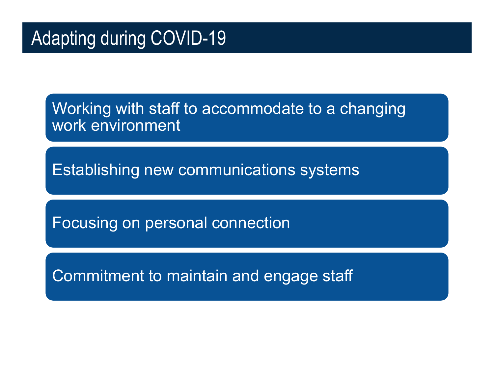Working with staff to accommodate to a changing work environment

Establishing new communications systems

Focusing on personal connection

Commitment to maintain and engage staff